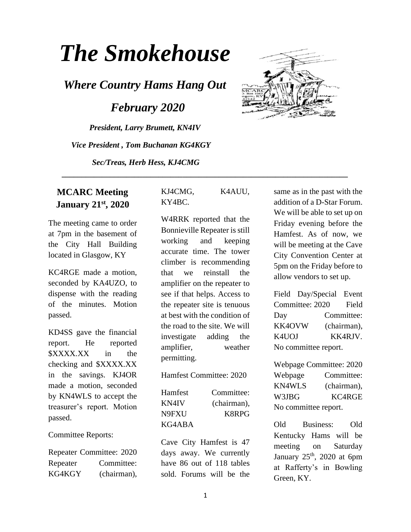# *The Smokehouse*

*Where Country Hams Hang Out*

 *February 2020*

*President, Larry Brumett, KN4IV Vice President , Tom Buchanan KG4KGY Sec/Treas, Herb Hess, KJ4CMG*



#### **MCARC Meeting January 21st, 2020**

The meeting came to order at 7pm in the basement of the City Hall Building located in Glasgow, KY

KC4RGE made a motion, seconded by KA4UZO, to dispense with the reading of the minutes. Motion passed.

KD4SS gave the financial report. He reported \$XXXX.XX in the checking and \$XXXX.XX in the savings. KJ4OR made a motion, seconded by KN4WLS to accept the treasurer's report. Motion passed.

Committee Reports:

Repeater Committee: 2020 Repeater Committee: KG4KGY (chairman), KJ4CMG, K4AUU, KY4BC.

 **\_\_\_\_\_\_\_\_\_\_\_\_\_\_\_\_\_\_\_\_\_\_\_\_\_\_\_\_\_\_\_\_\_\_\_\_\_\_\_\_\_\_\_\_\_\_\_\_\_\_\_\_\_\_\_\_\_\_\_\_\_\_\_\_\_\_\_\_\_\_\_**

W4RRK reported that the Bonnieville Repeater is still working and keeping accurate time. The tower climber is recommending that we reinstall the amplifier on the repeater to see if that helps. Access to the repeater site is tenuous at best with the condition of the road to the site. We will investigate adding the amplifier, weather permitting.

Hamfest Committee: 2020

| Hamfest | Committee:  |
|---------|-------------|
| KN4IV   | (chairman), |
| N9FXU   | K8RPG       |
| KG4ABA  |             |

Cave City Hamfest is 47 days away. We currently have 86 out of 118 tables sold. Forums will be the same as in the past with the addition of a D-Star Forum. We will be able to set up on Friday evening before the Hamfest. As of now, we will be meeting at the Cave City Convention Center at 5pm on the Friday before to allow vendors to set up.

Field Day/Special Event Committee: 2020 Field Day Committee: KK4OVW (chairman), K4UOJ KK4RJV. No committee report.

Webpage Committee: 2020 Webpage Committee: KN4WLS (chairman), W3JBG KC4RGE No committee report.

Old Business: Old Kentucky Hams will be meeting on Saturday January  $25<sup>th</sup>$ , 2020 at 6pm at Rafferty's in Bowling Green, KY.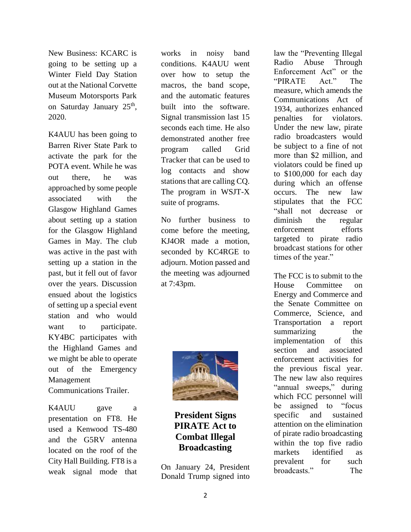New Business: KCARC is going to be setting up a Winter Field Day Station out at the National Corvette Museum Motorsports Park on Saturday January 25<sup>th</sup>, 2020.

K4AUU has been going to Barren River State Park to activate the park for the POTA event. While he was out there, he was approached by some people associated with the Glasgow Highland Games about setting up a station for the Glasgow Highland Games in May. The club was active in the past with setting up a station in the past, but it fell out of favor over the years. Discussion ensued about the logistics of setting up a special event station and who would want to participate. KY4BC participates with the Highland Games and we might be able to operate out of the Emergency Management Communications Trailer.

K4AUU gave a presentation on FT8. He used a Kenwood TS-480 and the G5RV antenna located on the roof of the City Hall Building. FT8 is a weak signal mode that

works in noisy band conditions. K4AUU went over how to setup the macros, the band scope, and the automatic features built into the software. Signal transmission last 15 seconds each time. He also demonstrated another free program called Grid Tracker that can be used to log contacts and show stations that are calling CQ. The program in WSJT-X suite of programs.

No further business to come before the meeting, KJ4OR made a motion, seconded by KC4RGE to adjourn. Motion passed and the meeting was adjourned at 7:43pm.



**President Signs PIRATE Act to Combat Illegal Broadcasting**

On January 24, President Donald Trump signed into

law the "Preventing Illegal Radio Abuse Through Enforcement Act" or the "PIRATE Act." The measure, which amends the Communications Act of 1934, authorizes enhanced penalties for violators. Under the new law, pirate radio broadcasters would be subject to a fine of not more than \$2 million, and violators could be fined up to \$100,000 for each day during which an offense occurs. The new law stipulates that the FCC "shall not decrease or diminish the regular enforcement efforts targeted to pirate radio broadcast stations for other times of the year."

The FCC is to submit to the House Committee on Energy and Commerce and the Senate Committee on Commerce, Science, and Transportation a report summarizing the implementation of this section and associated enforcement activities for the previous fiscal year. The new law also requires "annual sweeps," during which FCC personnel will be assigned to "focus specific and sustained attention on the elimination of pirate radio broadcasting within the top five radio markets identified as prevalent for such broadcasts." The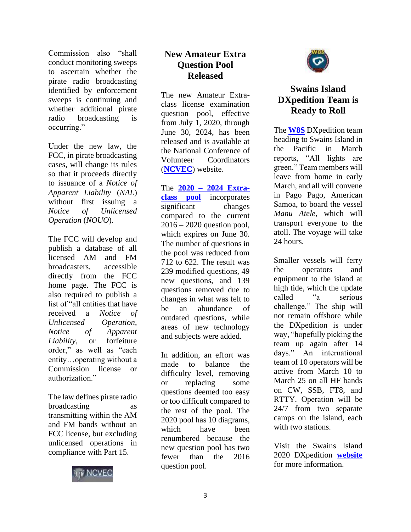Commission also "shall conduct monitoring sweeps to ascertain whether the pirate radio broadcasting identified by enforcement sweeps is continuing and whether additional pirate radio broadcasting is occurring."

Under the new law, the FCC, in pirate broadcasting cases, will change its rules so that it proceeds directly to issuance of a *Notice of Apparent Liability* (*NAL*) without first issuing a *Notice of Unlicensed Operation* (*NOUO*).

The FCC will develop and publish a database of all licensed AM and FM broadcasters, accessible directly from the FCC home page. The FCC is also required to publish a list of "all entities that have received a *Notice of Unlicensed Operation*, *Notice of Apparent Liability*, or forfeiture order," as well as "each entity…operating without a Commission license or authorization."

The law defines pirate radio broadcasting transmitting within the AM and FM bands without an FCC license, but excluding unlicensed operations in compliance with Part 15.



#### **New Amateur Extra Question Pool Released**

The new Amateur Extraclass license examination question pool, effective from July 1, 2020, through June 30, 2024, has been released and is available at the National Conference of Volunteer Coordinators (**[NCVEC](http://www.ncvec.org/)**) website.

The **2020 – [2024 Extra](http://www.ncvec.org/page.php?id=356)[class pool](http://www.ncvec.org/page.php?id=356)** incorporates significant changes compared to the current 2016 – 2020 question pool, which expires on June 30. The number of questions in the pool was reduced from 712 to 622. The result was 239 modified questions, 49 new questions, and 139 questions removed due to changes in what was felt to<br>be an abundance of be an abundance of outdated questions, while areas of new technology and subjects were added.

In addition, an effort was made to balance the difficulty level, removing or replacing some questions deemed too easy or too difficult compared to the rest of the pool. The 2020 pool has 10 diagrams, which have been renumbered because the new question pool has two fewer than the 2016 question pool.



## **Swains Island DXpedition Team is Ready to Roll**

The **[W8S](https://swains2020.lldxt.eu/)** DXpedition team heading to Swains Island in the Pacific in March reports, "All lights are green." Team members will leave from home in early March, and all will convene in Pago Pago, American Samoa, to board the vessel *Manu Atele*, which will transport everyone to the atoll. The voyage will take 24 hours.

Smaller vessels will ferry the operators and equipment to the island at high tide, which the update called "a serious challenge." The ship will not remain offshore while the DXpedition is under way, "hopefully picking the team up again after 14 days." An international team of 10 operators will be active from March 10 to March 25 on all HF bands on CW, SSB, FT8, and RTTY. Operation will be 24/7 from two separate camps on the island, each with two stations.

Visit the Swains Island 2020 DXpedition **[website](http://swains2020.lldxt.eu/)** for more information.